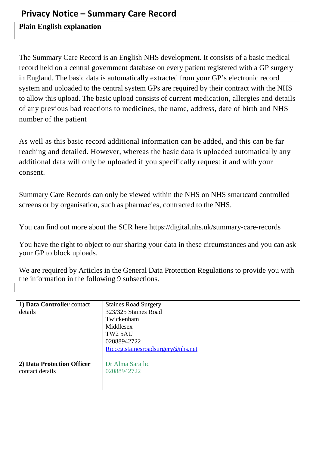## **Privacy Notice – Summary Care Record**

## **Plain English explanation**

The Summary Care Record is an English NHS development. It consists of a basic medical record held on a central government database on every patient registered with a GP surgery in England. The basic data is automatically extracted from your GP's electronic record system and uploaded to the central system GPs are required by their contract with the NHS to allow this upload. The basic upload consists of current medication, allergies and details of any previous bad reactions to medicines, the name, address, date of birth and NHS number of the patient

As well as this basic record additional information can be added, and this can be far reaching and detailed. However, whereas the basic data is uploaded automatically any additional data will only be uploaded if you specifically request it and with your consent.

Summary Care Records can only be viewed within the NHS on NHS smartcard controlled screens or by organisation, such as pharmacies, contracted to the NHS.

You can find out more about the SCR here https://digital.nhs.uk/summary-care-records

You have the right to object to our sharing your data in these circumstances and you can ask your GP to block uploads.

We are required by Articles in the General Data Protection Regulations to provide you with the information in the following 9 subsections.

| 1) Data Controller contact | <b>Staines Road Surgery</b>       |
|----------------------------|-----------------------------------|
| details                    | 323/325 Staines Road              |
|                            | Twickenham                        |
|                            | Middlesex                         |
|                            | TW <sub>2</sub> 5AU               |
|                            | 02088942722                       |
|                            | Ricceg.stainesroadsurgery@nhs.net |
|                            |                                   |
| 2) Data Protection Officer | Dr Alma Sarajlic                  |
| contact details            | 02088942722                       |
|                            |                                   |
|                            |                                   |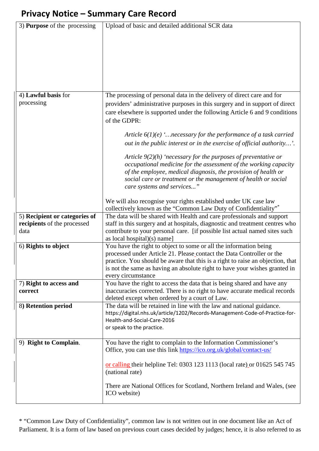## **Privacy Notice – Summary Care Record**

| 3) <b>Purpose</b> of the processing                          | Upload of basic and detailed additional SCR data                                                                                                       |
|--------------------------------------------------------------|--------------------------------------------------------------------------------------------------------------------------------------------------------|
|                                                              |                                                                                                                                                        |
|                                                              |                                                                                                                                                        |
|                                                              |                                                                                                                                                        |
|                                                              |                                                                                                                                                        |
|                                                              |                                                                                                                                                        |
|                                                              |                                                                                                                                                        |
|                                                              |                                                                                                                                                        |
|                                                              |                                                                                                                                                        |
| 4) Lawful basis for                                          | The processing of personal data in the delivery of direct care and for                                                                                 |
| processing                                                   | providers' administrative purposes in this surgery and in support of direct                                                                            |
|                                                              | care elsewhere is supported under the following Article 6 and 9 conditions                                                                             |
|                                                              | of the GDPR:                                                                                                                                           |
|                                                              |                                                                                                                                                        |
|                                                              | Article $6(1)(e)$ ' necessary for the performance of a task carried                                                                                    |
|                                                              | out in the public interest or in the exercise of official authority'.                                                                                  |
|                                                              | Article $9(2)(h)$ 'necessary for the purposes of preventative or                                                                                       |
|                                                              | occupational medicine for the assessment of the working capacity                                                                                       |
|                                                              | of the employee, medical diagnosis, the provision of health or                                                                                         |
|                                                              | social care or treatment or the management of health or social                                                                                         |
|                                                              | care systems and services"                                                                                                                             |
|                                                              |                                                                                                                                                        |
|                                                              | We will also recognise your rights established under UK case law                                                                                       |
|                                                              | collectively known as the "Common Law Duty of Confidentiality"*                                                                                        |
| 5) Recipient or categories of<br>recipients of the processed | The data will be shared with Health and care professionals and support<br>staff in this surgery and at hospitals, diagnostic and treatment centres who |
| data                                                         | contribute to your personal care. [if possible list actual named sites such                                                                            |
|                                                              | as local hospital $(x)$ name]                                                                                                                          |
| 6) Rights to object                                          | You have the right to object to some or all the information being                                                                                      |
|                                                              | processed under Article 21. Please_contact the Data Controller or the                                                                                  |
|                                                              | practice. You should be aware that this is a right to raise an objection, that                                                                         |
|                                                              | is not the same as having an absolute right to have your wishes granted in                                                                             |
|                                                              | every circumstance                                                                                                                                     |
| 7) Right to access and<br>correct                            | You have the right to access the data that is being shared and have any<br>inaccuracies corrected. There is no right to have accurate medical records  |
|                                                              | deleted except when ordered by a court of Law.                                                                                                         |
| 8) Retention period                                          | The data will be retained in line with the law and national guidance.                                                                                  |
|                                                              | https://digital.nhs.uk/article/1202/Records-Management-Code-of-Practice-for-                                                                           |
|                                                              | Health-and-Social-Care-2016                                                                                                                            |
|                                                              | or speak to the practice.                                                                                                                              |
|                                                              |                                                                                                                                                        |
| 9) Right to Complain.                                        | You have the right to complain to the Information Commissioner's                                                                                       |
|                                                              | Office, you can use this link https://ico.org.uk/global/contact-us/                                                                                    |
|                                                              | or calling their helpline Tel: 0303 123 1113 (local rate) or 01625 545 745                                                                             |
|                                                              | (national rate)                                                                                                                                        |
|                                                              |                                                                                                                                                        |
|                                                              |                                                                                                                                                        |
|                                                              | There are National Offices for Scotland, Northern Ireland and Wales, (see                                                                              |
|                                                              | ICO website)                                                                                                                                           |

\* "Common Law Duty of Confidentiality", common law is not written out in one document like an Act of Parliament. It is a form of law based on previous court cases decided by judges; hence, it is also referred to as